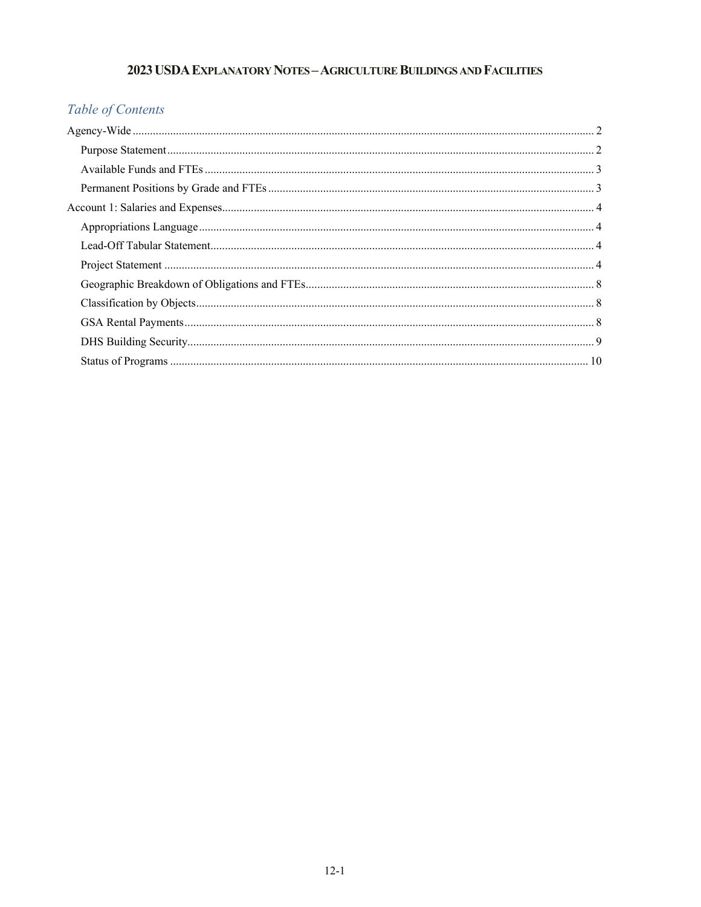## 2023 USDA EXPLANATORY NOTES - AGRICULTURE BUILDINGS AND FACILITIES

# Table of Contents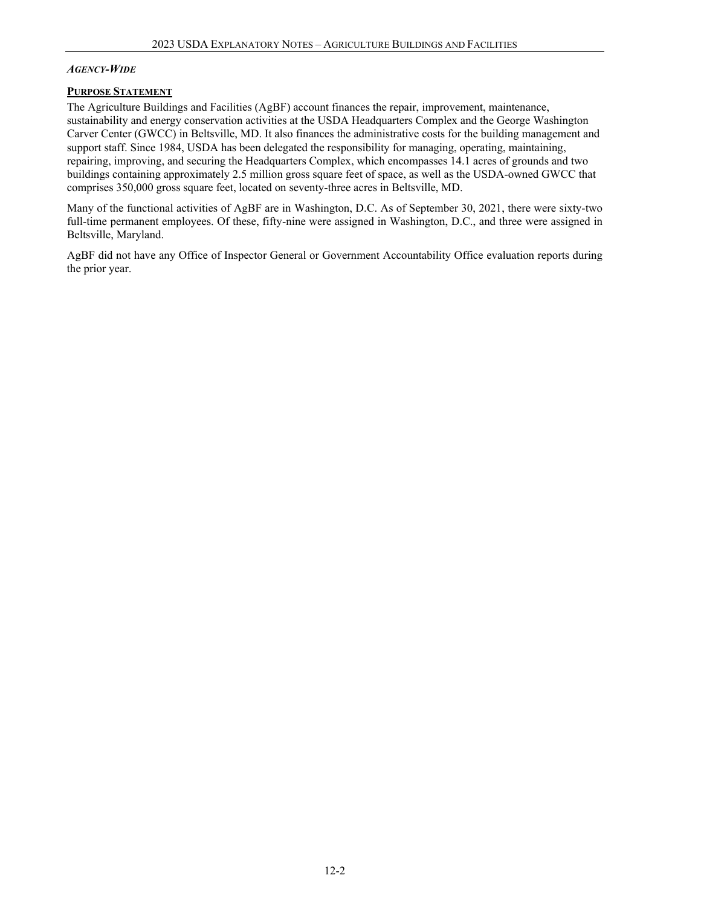#### <span id="page-1-0"></span>*AGENCY-WIDE*

#### <span id="page-1-1"></span>**PURPOSE STATEMENT**

The Agriculture Buildings and Facilities (AgBF) account finances the repair, improvement, maintenance, sustainability and energy conservation activities at the USDA Headquarters Complex and the George Washington Carver Center (GWCC) in Beltsville, MD. It also finances the administrative costs for the building management and support staff. Since 1984, USDA has been delegated the responsibility for managing, operating, maintaining, repairing, improving, and securing the Headquarters Complex, which encompasses 14.1 acres of grounds and two buildings containing approximately 2.5 million gross square feet of space, as well as the USDA-owned GWCC that comprises 350,000 gross square feet, located on seventy-three acres in Beltsville, MD.

Many of the functional activities of AgBF are in Washington, D.C. As of September 30, 2021, there were sixty-two full-time permanent employees. Of these, fifty-nine were assigned in Washington, D.C., and three were assigned in Beltsville, Maryland.

AgBF did not have any Office of Inspector General or Government Accountability Office evaluation reports during the prior year.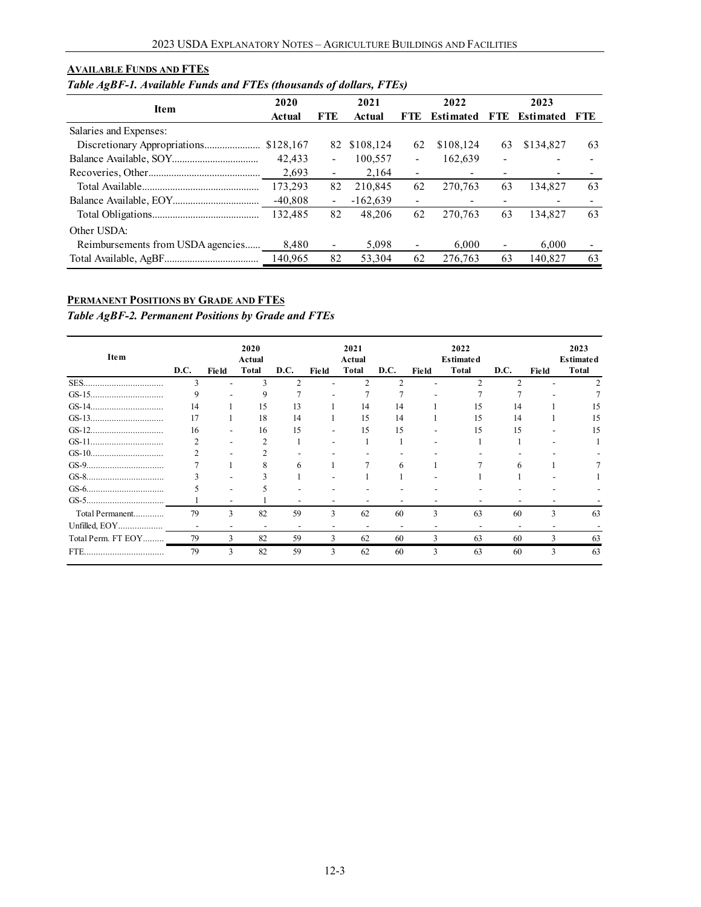#### <span id="page-2-0"></span>**AVAILABLE FUNDS AND FTES**

## *Table AgBF-1. Available Funds and FTEs (thousands of dollars, FTEs)*

|                                   | 2020      |                          | 2021         |                          | 2022                     |      | 2023             |     |
|-----------------------------------|-----------|--------------------------|--------------|--------------------------|--------------------------|------|------------------|-----|
| <b>Item</b>                       | Actual    | FTE                      | Actual       | FTE.                     | <b>Estimated</b>         | FTE. | <b>Estimated</b> | FTE |
| Salaries and Expenses:            |           |                          |              |                          |                          |      |                  |     |
|                                   | \$128,167 |                          | 82 \$108,124 | 62                       | \$108,124                | 63   | \$134,827        | 63  |
|                                   | 42,433    | $\overline{\phantom{a}}$ | 100,557      | -                        | 162,639                  |      |                  |     |
|                                   | 2,693     | $\overline{\phantom{a}}$ | 2,164        | -                        | $\overline{\phantom{0}}$ |      |                  |     |
|                                   | 173,293   | 82                       | 210,845      | 62                       | 270.763                  | 63   | 134.827          | 63  |
|                                   | $-40,808$ | $\overline{\phantom{a}}$ | $-162,639$   | -                        | $\overline{\phantom{0}}$ |      |                  |     |
|                                   | 132,485   | 82                       | 48,206       | 62                       | 270.763                  | 63   | 134.827          | 63  |
| Other USDA:                       |           |                          |              |                          |                          |      |                  |     |
| Reimbursements from USDA agencies | 8.480     | $\overline{\phantom{a}}$ | 5.098        | $\overline{\phantom{a}}$ | 6.000                    |      | 6.000            |     |
|                                   | 140.965   | 82                       | 53,304       | 62                       | 276,763                  | 63   | 140.827          | 63  |

### <span id="page-2-1"></span>**PERMANENT POSITIONS BY GRADE AND FTES**

*Table AgBF-2. Permanent Positions by Grade and FTEs*

| Item               |      |                          | 2020<br>Actual |                          |       | 2021<br>Actual |                          |       | 2022<br><b>Estimated</b> |               |       | 2023<br><b>Estimated</b> |
|--------------------|------|--------------------------|----------------|--------------------------|-------|----------------|--------------------------|-------|--------------------------|---------------|-------|--------------------------|
|                    | D.C. | Field                    | Total          | D.C.                     | Field | Total          | D.C.                     | Field | <b>Total</b>             | D.C.          | Field | <b>Total</b>             |
| SES                | 3    |                          | 3              | C                        |       | C              | $\mathcal{D}$            |       | $\mathfrak{D}$           | $\mathcal{D}$ |       |                          |
|                    | 9    |                          | 9              |                          |       |                | ÷                        |       |                          |               |       |                          |
|                    | 14   |                          | 15             | 13                       |       | 14             | 14                       |       | 15                       | 14            |       | 15                       |
|                    | 17   |                          | 18             | 14                       |       | 15             | 14                       |       | 15                       | 14            |       | 15                       |
|                    | 16   |                          | 16             | 15                       |       | 15             | 15                       |       | 15                       | 15            |       | 15                       |
|                    | ↑    |                          | 2              |                          |       |                |                          |       |                          |               |       |                          |
|                    | C    | $\overline{\phantom{a}}$ | າ              |                          |       |                |                          |       |                          |               |       |                          |
|                    |      |                          | 8              | 6                        |       |                | 6                        |       |                          | 6             |       |                          |
|                    |      |                          |                |                          |       |                |                          |       |                          |               |       |                          |
|                    |      | -                        |                |                          |       |                |                          |       |                          |               |       |                          |
|                    |      | $\overline{\phantom{a}}$ |                | -                        |       |                |                          |       |                          |               |       |                          |
| Total Permanent    | 79   | 3                        | 82             | 59                       | 3     | 62             | 60                       | 3     | 63                       | 60            | 3     | 63                       |
| Unfilled, EOY      |      |                          | -              | $\overline{\phantom{a}}$ |       |                | $\overline{\phantom{0}}$ |       |                          |               |       |                          |
| Total Perm. FT EOY | 79   | 3                        | 82             | 59                       | 3     | 62             | 60                       | 3     | 63                       | 60            | 3     | 63                       |
| FTE.<br>           | 79   | 3                        | 82             | 59                       | 3     | 62             | 60                       | 3     | 63                       | 60            | 3     | 63                       |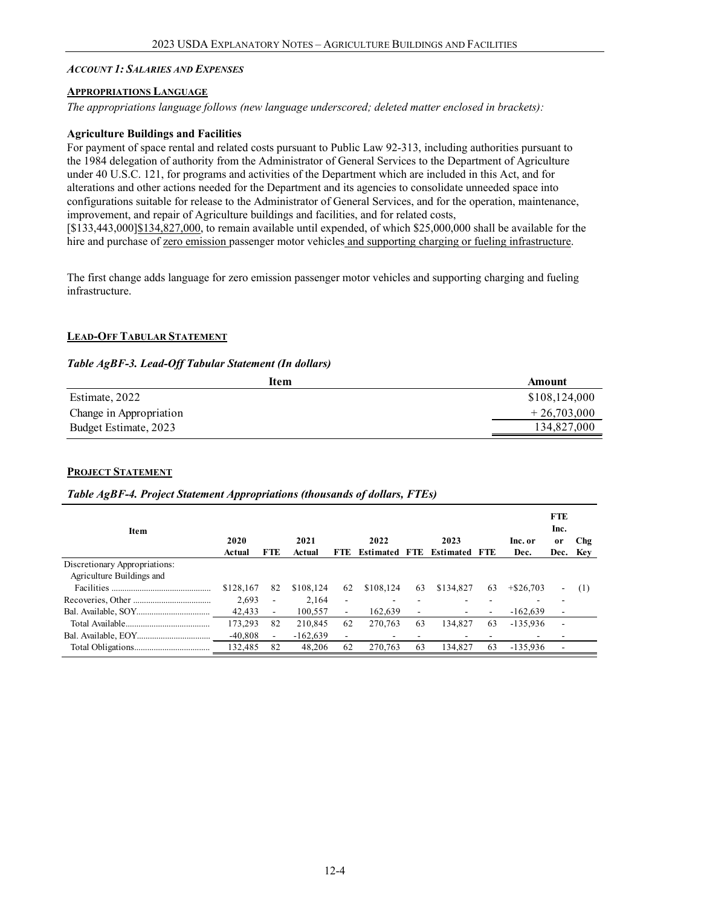#### <span id="page-3-0"></span>*ACCOUNT 1: SALARIES AND EXPENSES*

#### <span id="page-3-1"></span>**APPROPRIATIONS LANGUAGE**

*The appropriations language follows (new language underscored; deleted matter enclosed in brackets):*

#### **Agriculture Buildings and Facilities**

For payment of space rental and related costs pursuant to Public Law 92-313, including authorities pursuant to the 1984 delegation of authority from the Administrator of General Services to the Department of Agriculture under 40 U.S.C. 121, for programs and activities of the Department which are included in this Act, and for alterations and other actions needed for the Department and its agencies to consolidate unneeded space into configurations suitable for release to the Administrator of General Services, and for the operation, maintenance, improvement, and repair of Agriculture buildings and facilities, and for related costs, [\$133,443,000]\$134,827,000, to remain available until expended, of which \$25,000,000 shall be available for the hire and purchase of zero emission passenger motor vehicles and supporting charging or fueling infrastructure.

The first change adds language for zero emission passenger motor vehicles and supporting charging and fueling infrastructure.

#### <span id="page-3-2"></span>**LEAD-OFF TABULAR STATEMENT**

#### *Table AgBF-3. Lead-Off Tabular Statement (In dollars)*

<span id="page-3-3"></span>

| Item                    | Amount        |
|-------------------------|---------------|
| Estimate, 2022          | \$108,124,000 |
| Change in Appropriation | $+26,703,000$ |
| Budget Estimate, 2023   | 134,827,000   |

#### **PROJECT STATEMENT**

#### *Table AgBF-4. Project Statement Appropriations (thousands of dollars, FTEs)*

| Item                          | 2020<br>Actual | <b>FTE</b>               | 2021<br>Actual | <b>FTE</b>               | 2022<br><b>Estimated</b> | FTE. | 2023<br><b>Estimated FTE</b> |    | Inc. or<br>Dec.          | <b>FTE</b><br>Inc.<br><sub>or</sub><br>Dec. Kev | Chg |
|-------------------------------|----------------|--------------------------|----------------|--------------------------|--------------------------|------|------------------------------|----|--------------------------|-------------------------------------------------|-----|
| Discretionary Appropriations: |                |                          |                |                          |                          |      |                              |    |                          |                                                 |     |
| Agriculture Buildings and     |                |                          |                |                          |                          |      |                              |    |                          |                                                 |     |
|                               | \$128,167      | 82                       | \$108.124      | 62                       | \$108,124                | 63   | \$134,827                    | 63 | $+$ \$26,703             | ۰.                                              | (1) |
|                               | 2.693          | $\overline{\phantom{a}}$ | 2,164          | $\overline{\phantom{a}}$ |                          |      |                              |    |                          |                                                 |     |
|                               | 42,433         | $\overline{\phantom{a}}$ | 100,557        | $\sim$                   | 162,639                  | ۰    | ۰                            |    | $-162,639$               | ٠                                               |     |
|                               | 173,293        | 82                       | 210.845        | 62                       | 270,763                  | 63   | 134,827                      | 63 | $-135,936$               | ۰                                               |     |
|                               | $-40,808$      | $\overline{\phantom{a}}$ | $-162,639$     |                          | ۰                        |      | ۰                            |    | $\overline{\phantom{a}}$ | ۰                                               |     |
|                               | 132,485        | 82                       | 48,206         | 62                       | 270,763                  | 63   | 134,827                      | 63 | $-135.936$               | ۰                                               |     |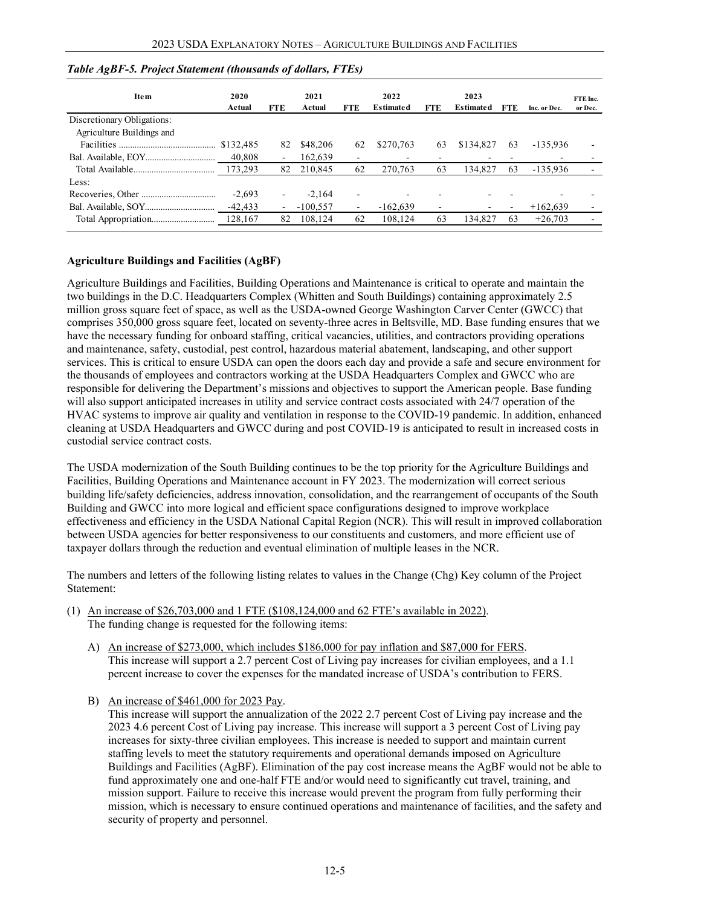| <b>Item</b>                | 2020<br>Actual | <b>FTE</b>     | 2021<br>Actual | <b>FTE</b>               | 2022<br><b>Estimated</b> | <b>FTE</b> | 2023<br><b>Estimated</b> | FTE | Inc. or Dec. | FTE Inc.<br>or Dec. |
|----------------------------|----------------|----------------|----------------|--------------------------|--------------------------|------------|--------------------------|-----|--------------|---------------------|
| Discretionary Obligations: |                |                |                |                          |                          |            |                          |     |              |                     |
| Agriculture Buildings and  |                |                |                |                          |                          |            |                          |     |              |                     |
|                            |                | 82             | \$48,206       | 62                       | \$270,763                | 63         | \$134,827                | 63  | $-135.936$   |                     |
|                            | 40,808         | ۰.             | 162,639        | $\overline{\phantom{0}}$ |                          |            |                          |     |              |                     |
|                            | 173.293        | 82             | 210.845        | 62                       | 270.763                  | 63         | 134,827                  | 63  | -135.936     |                     |
| Less:                      |                |                |                |                          |                          |            |                          |     |              |                     |
|                            | $-2.693$       | ۰.             | $-2,164$       | $\overline{\phantom{0}}$ |                          |            |                          |     |              |                     |
|                            | $-42,433$      | $\blacksquare$ | $-100,557$     | $\overline{\phantom{a}}$ | $-162.639$               |            |                          |     | $+162,639$   |                     |
|                            |                | 82             | 108,124        | 62                       | 108,124                  | 63         | 134.827                  | 63  | $+26.703$    |                     |

#### *Table AgBF-5. Project Statement (thousands of dollars, FTEs)*

#### **Agriculture Buildings and Facilities (AgBF)**

Agriculture Buildings and Facilities, Building Operations and Maintenance is critical to operate and maintain the two buildings in the D.C. Headquarters Complex (Whitten and South Buildings) containing approximately 2.5 million gross square feet of space, as well as the USDA-owned George Washington Carver Center (GWCC) that comprises 350,000 gross square feet, located on seventy-three acres in Beltsville, MD. Base funding ensures that we have the necessary funding for onboard staffing, critical vacancies, utilities, and contractors providing operations and maintenance, safety, custodial, pest control, hazardous material abatement, landscaping, and other support services. This is critical to ensure USDA can open the doors each day and provide a safe and secure environment for the thousands of employees and contractors working at the USDA Headquarters Complex and GWCC who are responsible for delivering the Department's missions and objectives to support the American people. Base funding will also support anticipated increases in utility and service contract costs associated with 24/7 operation of the HVAC systems to improve air quality and ventilation in response to the COVID-19 pandemic. In addition, enhanced cleaning at USDA Headquarters and GWCC during and post COVID-19 is anticipated to result in increased costs in custodial service contract costs.

The USDA modernization of the South Building continues to be the top priority for the Agriculture Buildings and Facilities, Building Operations and Maintenance account in FY 2023. The modernization will correct serious building life/safety deficiencies, address innovation, consolidation, and the rearrangement of occupants of the South Building and GWCC into more logical and efficient space configurations designed to improve workplace effectiveness and efficiency in the USDA National Capital Region (NCR). This will result in improved collaboration between USDA agencies for better responsiveness to our constituents and customers, and more efficient use of taxpayer dollars through the reduction and eventual elimination of multiple leases in the NCR.

The numbers and letters of the following listing relates to values in the Change (Chg) Key column of the Project Statement:

- (1) An increase of \$26,703,000 and 1 FTE (\$108,124,000 and 62 FTE's available in 2022). The funding change is requested for the following items:
	- A) An increase of \$273,000, which includes \$186,000 for pay inflation and \$87,000 for FERS. This increase will support a 2.7 percent Cost of Living pay increases for civilian employees, and a 1.1 percent increase to cover the expenses for the mandated increase of USDA's contribution to FERS.
	- B) An increase of \$461,000 for 2023 Pay.

This increase will support the annualization of the 2022 2.7 percent Cost of Living pay increase and the 2023 4.6 percent Cost of Living pay increase. This increase will support a 3 percent Cost of Living pay increases for sixty-three civilian employees. This increase is needed to support and maintain current staffing levels to meet the statutory requirements and operational demands imposed on Agriculture Buildings and Facilities (AgBF). Elimination of the pay cost increase means the AgBF would not be able to fund approximately one and one-half FTE and/or would need to significantly cut travel, training, and mission support. Failure to receive this increase would prevent the program from fully performing their mission, which is necessary to ensure continued operations and maintenance of facilities, and the safety and security of property and personnel.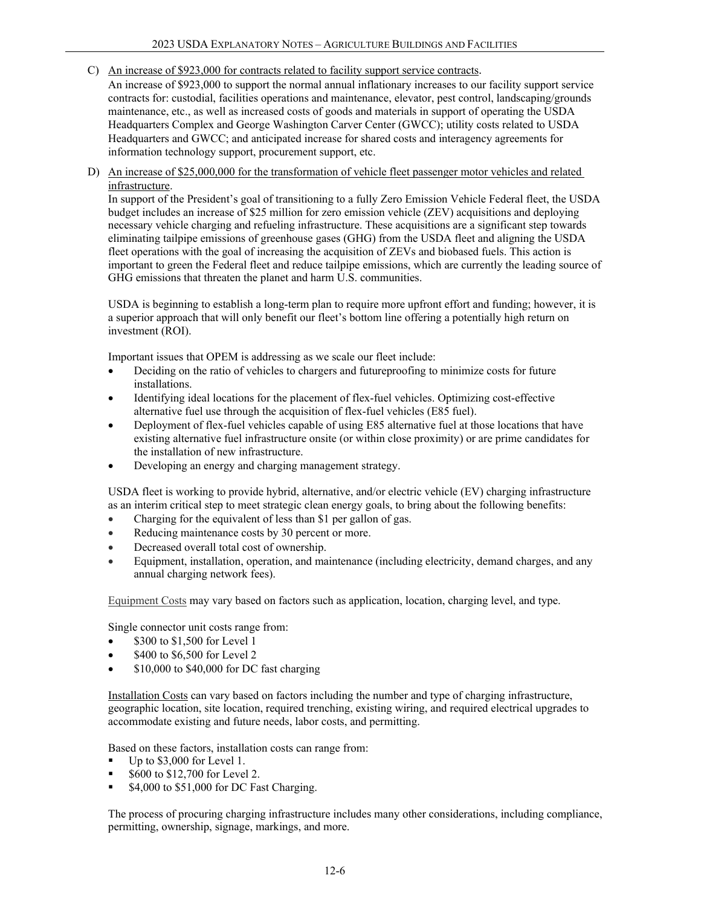C) An increase of \$923,000 for contracts related to facility support service contracts.

An increase of \$923,000 to support the normal annual inflationary increases to our facility support service contracts for: custodial, facilities operations and maintenance, elevator, pest control, landscaping/grounds maintenance, etc., as well as increased costs of goods and materials in support of operating the USDA Headquarters Complex and George Washington Carver Center (GWCC); utility costs related to USDA Headquarters and GWCC; and anticipated increase for shared costs and interagency agreements for information technology support, procurement support, etc.

D) An increase of \$25,000,000 for the transformation of vehicle fleet passenger motor vehicles and related infrastructure.

In support of the President's goal of transitioning to a fully Zero Emission Vehicle Federal fleet, the USDA budget includes an increase of \$25 million for zero emission vehicle (ZEV) acquisitions and deploying necessary vehicle charging and refueling infrastructure. These acquisitions are a significant step towards eliminating tailpipe emissions of greenhouse gases (GHG) from the USDA fleet and aligning the USDA fleet operations with the goal of increasing the acquisition of ZEVs and biobased fuels. This action is important to green the Federal fleet and reduce tailpipe emissions, which are currently the leading source of GHG emissions that threaten the planet and harm U.S. communities.

USDA is beginning to establish a long-term plan to require more upfront effort and funding; however, it is a superior approach that will only benefit our fleet's bottom line offering a potentially high return on investment (ROI).

Important issues that OPEM is addressing as we scale our fleet include:

- Deciding on the ratio of vehicles to chargers and futureproofing to minimize costs for future installations.
- Identifying ideal locations for the placement of flex-fuel vehicles. Optimizing cost-effective alternative fuel use through the acquisition of flex-fuel vehicles (E85 fuel).
- Deployment of flex-fuel vehicles capable of using E85 alternative fuel at those locations that have existing alternative fuel infrastructure onsite (or within close proximity) or are prime candidates for the installation of new infrastructure.
- Developing an energy and charging management strategy.

USDA fleet is working to provide hybrid, alternative, and/or electric vehicle (EV) charging infrastructure as an interim critical step to meet strategic clean energy goals, to bring about the following benefits:

- Charging for the equivalent of less than \$1 per gallon of gas.
- Reducing maintenance costs by 30 percent or more.
- Decreased overall total cost of ownership.
- Equipment, installation, operation, and maintenance (including electricity, demand charges, and any annual charging network fees).

Equipment Costs may vary based on factors such as application, location, charging level, and type.

Single connector unit costs range from:

- \$300 to \$1,500 for Level 1
- \$400 to \$6,500 for Level 2
- \$10,000 to \$40,000 for DC fast charging

Installation Costs can vary based on factors including the number and type of charging infrastructure, geographic location, site location, required trenching, existing wiring, and required electrical upgrades to accommodate existing and future needs, labor costs, and permitting.

Based on these factors, installation costs can range from:

- Up to \$3,000 for Level 1.
- \$600 to \$12,700 for Level 2.
- \$4,000 to \$51,000 for DC Fast Charging.

The process of procuring charging infrastructure includes many other considerations, including compliance, permitting, ownership, signage, markings, and more.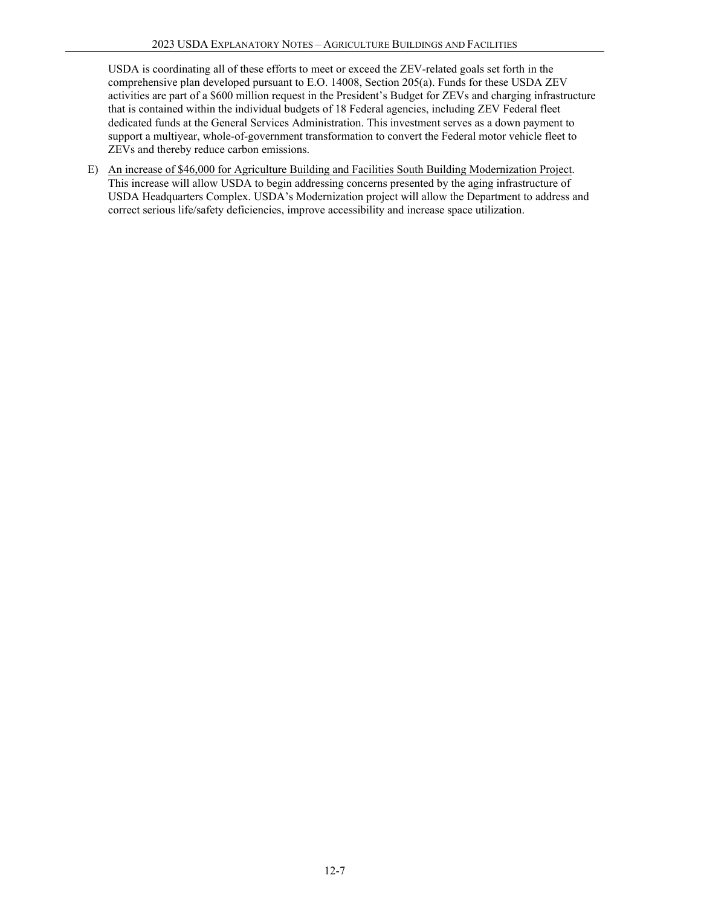USDA is coordinating all of these efforts to meet or exceed the ZEV-related goals set forth in the comprehensive plan developed pursuant to E.O. 14008, Section 205(a). Funds for these USDA ZEV activities are part of a \$600 million request in the President's Budget for ZEVs and charging infrastructure that is contained within the individual budgets of 18 Federal agencies, including ZEV Federal fleet dedicated funds at the General Services Administration. This investment serves as a down payment to support a multiyear, whole-of-government transformation to convert the Federal motor vehicle fleet to ZEVs and thereby reduce carbon emissions.

<span id="page-6-0"></span>E) An increase of \$46,000 for Agriculture Building and Facilities South Building Modernization Project. This increase will allow USDA to begin addressing concerns presented by the aging infrastructure of USDA Headquarters Complex. USDA's Modernization project will allow the Department to address and correct serious life/safety deficiencies, improve accessibility and increase space utilization.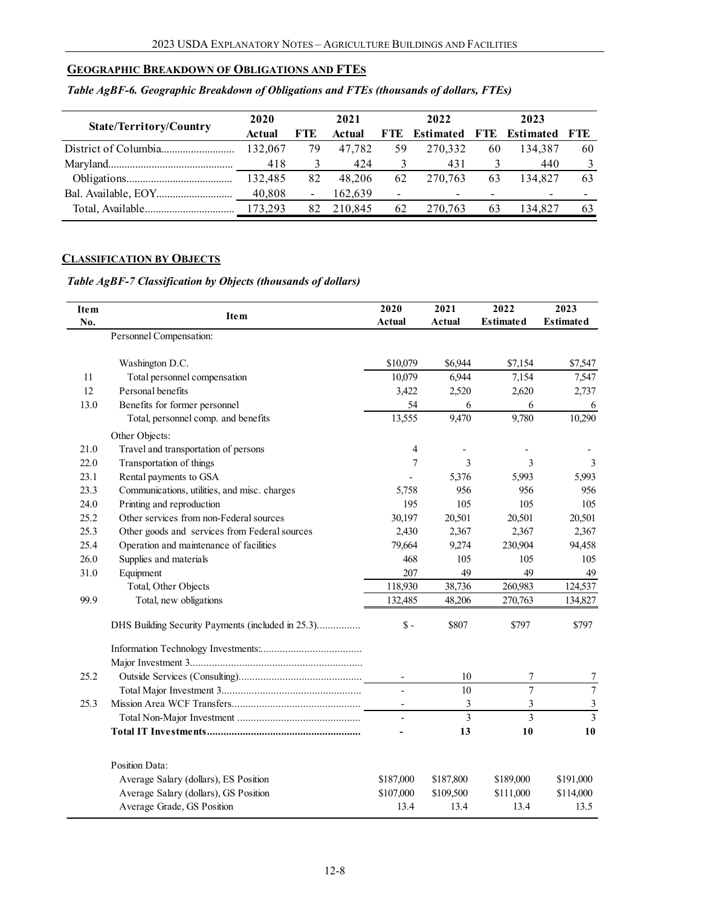### **GEOGRAPHIC BREAKDOWN OF OBLIGATIONS AND FTES**

<span id="page-7-0"></span>

|                                | 2020          |     | 2021    |                          | 2022      |     | 2023      |       |
|--------------------------------|---------------|-----|---------|--------------------------|-----------|-----|-----------|-------|
| <b>State/Territory/Country</b> | <b>Actual</b> | FTE | Actual  | <b>FTE</b>               | Estimated | FTE | Estimated | - FTE |
|                                | 132,067       | 79  | 47.782  | 59                       | 270.332   | 60  | 134,387   | 60    |
|                                | 418           |     | 424     |                          | 431       |     | 440       |       |
|                                | 132,485       | 82  | 48,206  | 62                       | 270.763   | 63  | 134,827   | 63    |
|                                | 40,808        | -   | 162.639 | $\overline{\phantom{0}}$ | $\sim$    |     |           |       |
|                                |               | 82  | 210.845 | 62                       | 270.763   | 63  | 134.827   | 63    |

### *Table AgBF-6. Geographic Breakdown of Obligations and FTEs (thousands of dollars, FTEs)*

## **CLASSIFICATION BY OBJECTS**

## *Table AgBF-7 Classification by Objects (thousands of dollars)*

<span id="page-7-1"></span>

| <b>Item</b> | Ite <sub>m</sub>                                  | 2020                     | 2021                    | 2022             | 2023             |
|-------------|---------------------------------------------------|--------------------------|-------------------------|------------------|------------------|
| No.         |                                                   | <b>Actual</b>            | Actual                  | <b>Estimated</b> | <b>Estimated</b> |
|             | Personnel Compensation:                           |                          |                         |                  |                  |
|             | Washington D.C.                                   | \$10,079                 | \$6,944                 | \$7,154          | \$7,547          |
| 11          | Total personnel compensation                      | 10,079                   | 6,944                   | 7,154            | 7,547            |
| 12          | Personal benefits                                 | 3,422                    | 2,520                   | 2,620            | 2,737            |
| 13.0        | Benefits for former personnel                     | 54                       | 6                       | 6                | 6                |
|             | Total, personnel comp. and benefits               | 13,555                   | 9,470                   | 9,780            | 10,290           |
|             | Other Objects:                                    |                          |                         |                  |                  |
| 21.0        | Travel and transportation of persons              | 4                        |                         |                  |                  |
| 22.0        | Transportation of things                          | 7                        | 3                       | 3                | 3                |
| 23.1        | Rental payments to GSA                            |                          | 5,376                   | 5,993            | 5,993            |
| 23.3        | Communications, utilities, and misc. charges      | 5,758                    | 956                     | 956              | 956              |
| 24.0        | Printing and reproduction                         | 195                      | 105                     | 105              | 105              |
| 25.2        | Other services from non-Federal sources           | 30,197                   | 20,501                  | 20,501           | 20,501           |
| 25.3        | Other goods and services from Federal sources     | 2,430                    | 2,367                   | 2,367            | 2,367            |
| 25.4        | Operation and maintenance of facilities           | 79,664                   | 9,274                   | 230,904          | 94,458           |
| 26.0        | Supplies and materials                            | 468                      | 105                     | 105              | 105              |
| 31.0        | Equipment                                         | 207                      | 49                      | 49               | 49               |
|             | Total, Other Objects                              | 118,930                  | 38,736                  | 260,983          | 124,537          |
| 99.9        | Total, new obligations                            | 132,485                  | 48,206                  | 270,763          | 134,827          |
|             | DHS Building Security Payments (included in 25.3) | $S -$                    | \$807                   | \$797            | \$797            |
|             |                                                   |                          |                         |                  |                  |
|             |                                                   |                          |                         |                  |                  |
| 25.2        |                                                   | $\overline{\phantom{a}}$ | 10                      | 7                | 7                |
|             |                                                   | $\overline{\phantom{a}}$ | 10                      | $\overline{7}$   | $\overline{7}$   |
| 25.3        |                                                   | $\overline{\phantom{a}}$ | $\mathfrak{Z}$          | 3                | $\mathfrak{Z}$   |
|             |                                                   | $\overline{\phantom{a}}$ | $\overline{\mathbf{3}}$ | $\overline{3}$   | $\overline{3}$   |
|             |                                                   |                          | 13                      | 10               | 10               |
|             | <b>Position Data:</b>                             |                          |                         |                  |                  |
|             | Average Salary (dollars), ES Position             | \$187,000                | \$187,800               | \$189,000        | \$191,000        |
|             | Average Salary (dollars), GS Position             | \$107,000                | \$109,500               | \$111,000        | \$114,000        |
|             | Average Grade, GS Position                        | 13.4                     | 13.4                    | 13.4             | 13.5             |
|             |                                                   |                          |                         |                  |                  |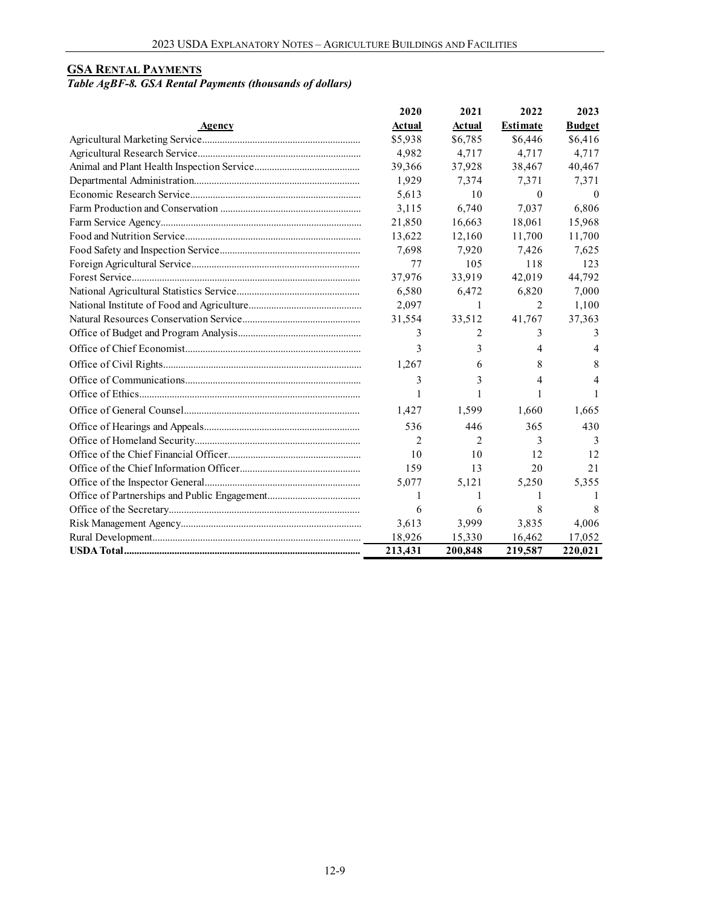## **GSA RENTAL PAYMENTS**

## *Table AgBF-8. GSA Rental Payments (thousands of dollars)*

|        | 2020          | 2021          | 2022            | 2023          |
|--------|---------------|---------------|-----------------|---------------|
| Agency | <b>Actual</b> | <b>Actual</b> | <b>Estimate</b> | <b>Budget</b> |
|        | \$5,938       | \$6,785       | \$6,446         | \$6,416       |
|        | 4,982         | 4,717         | 4,717           | 4,717         |
|        | 39,366        | 37,928        | 38,467          | 40,467        |
|        | 1,929         | 7,374         | 7,371           | 7,371         |
|        | 5,613         | 10            | $\Omega$        | $\theta$      |
|        | 3,115         | 6,740         | 7,037           | 6,806         |
|        | 21,850        | 16,663        | 18.061          | 15,968        |
|        | 13,622        | 12,160        | 11,700          | 11,700        |
|        | 7,698         | 7,920         | 7,426           | 7,625         |
|        | 77            | 105           | 118             | 123           |
|        | 37,976        | 33.919        | 42,019          | 44,792        |
|        | 6,580         | 6,472         | 6,820           | 7,000         |
|        | 2,097         | 1             | 2               | 1,100         |
|        | 31,554        | 33,512        | 41,767          | 37,363        |
|        | 3             | 2             | 3               | 3             |
|        | 3             | 3             | 4               | 4             |
|        | 1,267         | 6             | 8               | 8             |
|        | 3             | 3             | 4               | 4             |
|        | 1             | 1             |                 |               |
|        | 1,427         | 1,599         | 1,660           | 1,665         |
|        | 536           | 446           | 365             | 430           |
|        | 2             | 2             | 3               | 3             |
|        | 10            | 10            | 12              | 12            |
|        | 159           | 13            | 20              | 21            |
|        | 5.077         | 5,121         | 5,250           | 5.355         |
|        | 1             | 1             | 1               |               |
|        | 6             | 6             | 8               | 8             |
|        | 3,613         | 3,999         | 3,835           | 4,006         |
|        | 18,926        | 15,330        | 16,462          | 17,052        |
|        | 213,431       | 200,848       | 219,587         | 220,021       |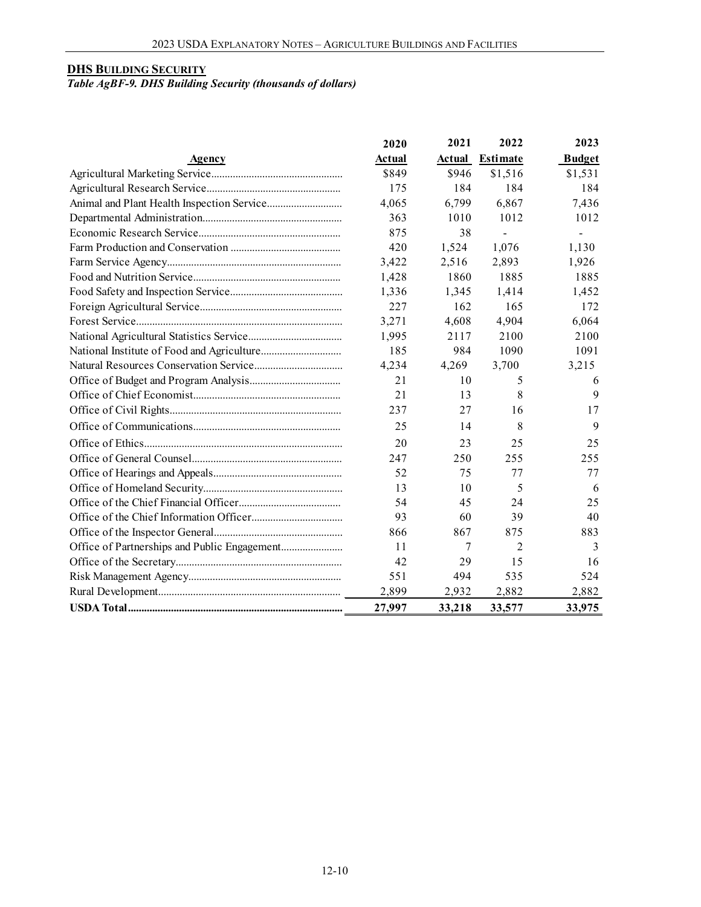### **DHS BUILDING SECURITY**

#### *Table AgBF-9. DHS Building Security (thousands of dollars)*

|        | 2020          | 2021          | 2022            | 2023          |
|--------|---------------|---------------|-----------------|---------------|
| Agency | <b>Actual</b> | <b>Actual</b> | <b>Estimate</b> | <b>Budget</b> |
|        | \$849         | \$946         | \$1,516         | \$1,531       |
|        | 175           | 184           | 184             | 184           |
|        | 4,065         | 6,799         | 6,867           | 7,436         |
|        | 363           | 1010          | 1012            | 1012          |
|        | 875           | 38            |                 |               |
|        | 420           | 1,524         | 1,076           | 1,130         |
|        | 3,422         | 2,516         | 2,893           | 1,926         |
|        | 1,428         | 1860          | 1885            | 1885          |
|        | 1,336         | 1,345         | 1,414           | 1,452         |
|        | 227           | 162           | 165             | 172           |
|        | 3,271         | 4,608         | 4,904           | 6,064         |
|        | 1,995         | 2117          | 2100            | 2100          |
|        | 185           | 984           | 1090            | 1091          |
|        | 4,234         | 4,269         | 3,700           | 3,215         |
|        | 21            | 10            | 5               | 6             |
|        | 21            | 13            | 8               | $\mathbf Q$   |
|        | 237           | 27            | 16              | 17            |
|        | 25            | 14            | 8               | 9             |
|        | 20            | 23            | 25              | 25            |
|        | 247           | 250           | 255             | 255           |
|        | 52            | 75            | 77              | 77            |
|        | 13            | 10            | 5               | 6             |
|        | 54            | 45            | 24              | 25            |
|        | 93            | 60            | 39              | 40            |
|        | 866           | 867           | 875             | 883           |
|        | 11            | 7             | 2               | 3             |
|        | 42            | 29            | 15              | 16            |
|        | 551           | 494           | 535             | 524           |
|        | 2,899         | 2,932         | 2,882           | 2,882         |
|        | 27,997        | 33,218        | 33,577          | 33,975        |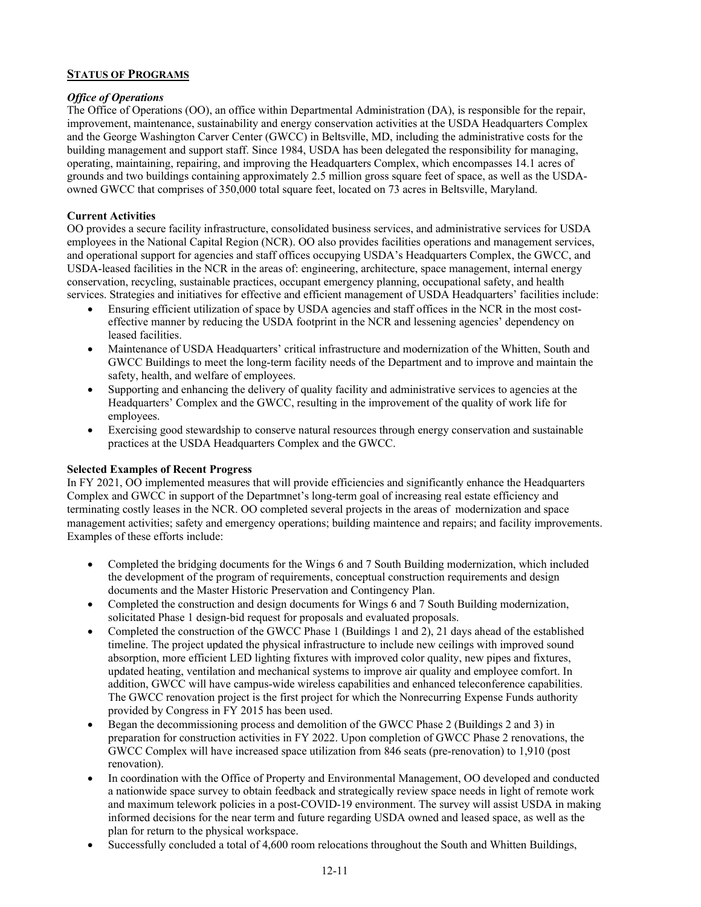#### **STATUS OF PROGRAMS**

#### *Office of Operations*

The Office of Operations (OO), an office within Departmental Administration (DA), is responsible for the repair, improvement, maintenance, sustainability and energy conservation activities at the USDA Headquarters Complex and the George Washington Carver Center (GWCC) in Beltsville, MD, including the administrative costs for the building management and support staff. Since 1984, USDA has been delegated the responsibility for managing, operating, maintaining, repairing, and improving the Headquarters Complex, which encompasses 14.1 acres of grounds and two buildings containing approximately 2.5 million gross square feet of space, as well as the USDAowned GWCC that comprises of 350,000 total square feet, located on 73 acres in Beltsville, Maryland.

#### **Current Activities**

OO provides a secure facility infrastructure, consolidated business services, and administrative services for USDA employees in the National Capital Region (NCR). OO also provides facilities operations and management services, and operational support for agencies and staff offices occupying USDA's Headquarters Complex, the GWCC, and USDA-leased facilities in the NCR in the areas of: engineering, architecture, space management, internal energy conservation, recycling, sustainable practices, occupant emergency planning, occupational safety, and health services. Strategies and initiatives for effective and efficient management of USDA Headquarters' facilities include:

- Ensuring efficient utilization of space by USDA agencies and staff offices in the NCR in the most costeffective manner by reducing the USDA footprint in the NCR and lessening agencies' dependency on leased facilities.
- Maintenance of USDA Headquarters' critical infrastructure and modernization of the Whitten, South and GWCC Buildings to meet the long-term facility needs of the Department and to improve and maintain the safety, health, and welfare of employees.
- Supporting and enhancing the delivery of quality facility and administrative services to agencies at the Headquarters' Complex and the GWCC, resulting in the improvement of the quality of work life for employees.
- Exercising good stewardship to conserve natural resources through energy conservation and sustainable practices at the USDA Headquarters Complex and the GWCC.

#### **Selected Examples of Recent Progress**

In FY 2021, OO implemented measures that will provide efficiencies and significantly enhance the Headquarters Complex and GWCC in support of the Departmnet's long-term goal of increasing real estate efficiency and terminating costly leases in the NCR. OO completed several projects in the areas of modernization and space management activities; safety and emergency operations; building maintence and repairs; and facility improvements. Examples of these efforts include:

- Completed the bridging documents for the Wings 6 and 7 South Building modernization, which included the development of the program of requirements, conceptual construction requirements and design documents and the Master Historic Preservation and Contingency Plan.
- Completed the construction and design documents for Wings 6 and 7 South Building modernization, solicitated Phase 1 design-bid request for proposals and evaluated proposals.
- Completed the construction of the GWCC Phase 1 (Buildings 1 and 2), 21 days ahead of the established timeline. The project updated the physical infrastructure to include new ceilings with improved sound absorption, more efficient LED lighting fixtures with improved color quality, new pipes and fixtures, updated heating, ventilation and mechanical systems to improve air quality and employee comfort. In addition, GWCC will have campus-wide wireless capabilities and enhanced teleconference capabilities. The GWCC renovation project is the first project for which the Nonrecurring Expense Funds authority provided by Congress in FY 2015 has been used.
- Began the decommissioning process and demolition of the GWCC Phase 2 (Buildings 2 and 3) in preparation for construction activities in FY 2022. Upon completion of GWCC Phase 2 renovations, the GWCC Complex will have increased space utilization from 846 seats (pre-renovation) to 1,910 (post renovation).
- In coordination with the Office of Property and Environmental Management, OO developed and conducted a nationwide space survey to obtain feedback and strategically review space needs in light of remote work and maximum telework policies in a post-COVID-19 environment. The survey will assist USDA in making informed decisions for the near term and future regarding USDA owned and leased space, as well as the plan for return to the physical workspace.
- Successfully concluded a total of 4,600 room relocations throughout the South and Whitten Buildings,